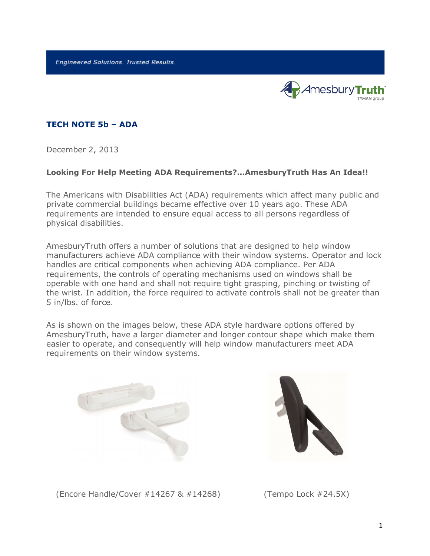**Engineered Solutions. Trusted Results.** 



## **TECH NOTE 5b – ADA**

December 2, 2013

## **Looking For Help Meeting ADA Requirements?...AmesburyTruth Has An Idea!!**

The Americans with Disabilities Act (ADA) requirements which affect many public and private commercial buildings became effective over 10 years ago. These ADA requirements are intended to ensure equal access to all persons regardless of physical disabilities.

AmesburyTruth offers a number of solutions that are designed to help window manufacturers achieve ADA compliance with their window systems. Operator and lock handles are critical components when achieving ADA compliance. Per ADA requirements, the controls of operating mechanisms used on windows shall be operable with one hand and shall not require tight grasping, pinching or twisting of the wrist. In addition, the force required to activate controls shall not be greater than 5 in/lbs. of force.

As is shown on the images below, these ADA style hardware options offered by AmesburyTruth, have a larger diameter and longer contour shape which make them easier to operate, and consequently will help window manufacturers meet ADA requirements on their window systems.





(Encore Handle/Cover #14267 & #14268) (Tempo Lock #24.5X)